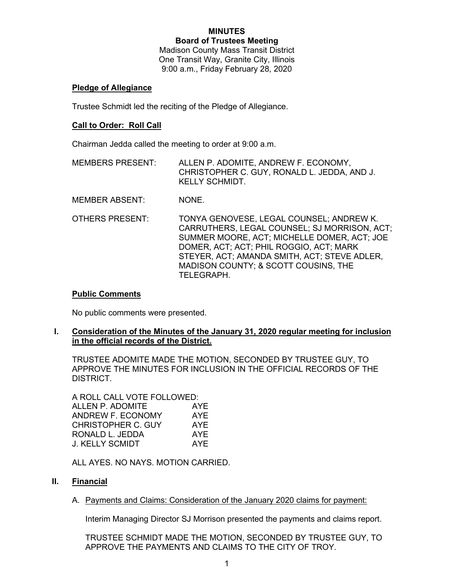#### **MINUTES Board of Trustees Meeting**

Madison County Mass Transit District One Transit Way, Granite City, Illinois 9:00 a.m., Friday February 28, 2020

### **Pledge of Allegiance**

Trustee Schmidt led the reciting of the Pledge of Allegiance.

## **Call to Order: Roll Call**

Chairman Jedda called the meeting to order at 9:00 a.m.

- MEMBERS PRESENT: ALLEN P. ADOMITE, ANDREW F. ECONOMY, CHRISTOPHER C. GUY, RONALD L. JEDDA, AND J. KELLY SCHMIDT.
- MEMBER ABSENT: NONE.
- OTHERS PRESENT: TONYA GENOVESE, LEGAL COUNSEL; ANDREW K. CARRUTHERS, LEGAL COUNSEL; SJ MORRISON, ACT; SUMMER MOORE, ACT; MICHELLE DOMER, ACT; JOE DOMER, ACT; ACT; PHIL ROGGIO, ACT; MARK STEYER, ACT; AMANDA SMITH, ACT; STEVE ADLER, MADISON COUNTY; & SCOTT COUSINS, THE TELEGRAPH.

### **Public Comments**

No public comments were presented.

### **I. Consideration of the Minutes of the January 31, 2020 regular meeting for inclusion in the official records of the District.**

TRUSTEE ADOMITE MADE THE MOTION, SECONDED BY TRUSTEE GUY, TO APPROVE THE MINUTES FOR INCLUSION IN THE OFFICIAL RECORDS OF THE DISTRICT.

A ROLL CALL VOTE FOLLOWED: ALLEN P. ADOMITE AYE ANDREW F. ECONOMY AYE CHRISTOPHER C. GUY AYE RONALD L. JEDDA AYE J. KELLY SCMIDT AYE

ALL AYES. NO NAYS. MOTION CARRIED.

# **II. Financial**

A. Payments and Claims: Consideration of the January 2020 claims for payment:

Interim Managing Director SJ Morrison presented the payments and claims report.

TRUSTEE SCHMIDT MADE THE MOTION, SECONDED BY TRUSTEE GUY, TO APPROVE THE PAYMENTS AND CLAIMS TO THE CITY OF TROY.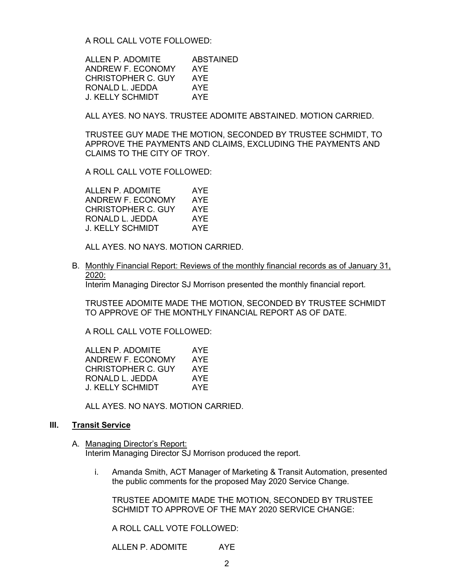A ROLL CALL VOTE FOLLOWED:

ALLEN P. ADOMITE ABSTAINED ANDREW F. ECONOMY AYE CHRISTOPHER C. GUY AYE RONALD L. JEDDA AYE J. KELLY SCHMIDT AYE

ALL AYES. NO NAYS. TRUSTEE ADOMITE ABSTAINED. MOTION CARRIED.

TRUSTEE GUY MADE THE MOTION, SECONDED BY TRUSTEE SCHMIDT, TO APPROVE THE PAYMENTS AND CLAIMS, EXCLUDING THE PAYMENTS AND CLAIMS TO THE CITY OF TROY.

A ROLL CALL VOTE FOLLOWED:

ALLEN P. ADOMITE AYE ANDREW F. ECONOMY AYE CHRISTOPHER C. GUY AYE RONALD L. JEDDA AYE J. KELLY SCHMIDT AYE

ALL AYES. NO NAYS. MOTION CARRIED.

B. Monthly Financial Report: Reviews of the monthly financial records as of January 31, 2020:

Interim Managing Director SJ Morrison presented the monthly financial report.

TRUSTEE ADOMITE MADE THE MOTION, SECONDED BY TRUSTEE SCHMIDT TO APPROVE OF THE MONTHLY FINANCIAL REPORT AS OF DATE.

A ROLL CALL VOTE FOLLOWED:

ALLEN P. ADOMITE AYE<br>ANDREW F. ECONOMY AYE ANDREW F. ECONOMY CHRISTOPHER C. GUY AYE RONALD L. JEDDA AYE J. KELLY SCHMIDT AYE

ALL AYES. NO NAYS. MOTION CARRIED.

#### **III. Transit Service**

- A. Managing Director's Report: Interim Managing Director SJ Morrison produced the report.
	- i. Amanda Smith, ACT Manager of Marketing & Transit Automation, presented the public comments for the proposed May 2020 Service Change.

TRUSTEE ADOMITE MADE THE MOTION, SECONDED BY TRUSTEE SCHMIDT TO APPROVE OF THE MAY 2020 SERVICE CHANGE:

A ROLL CALL VOTE FOLLOWED:

ALLEN P. ADOMITE AYE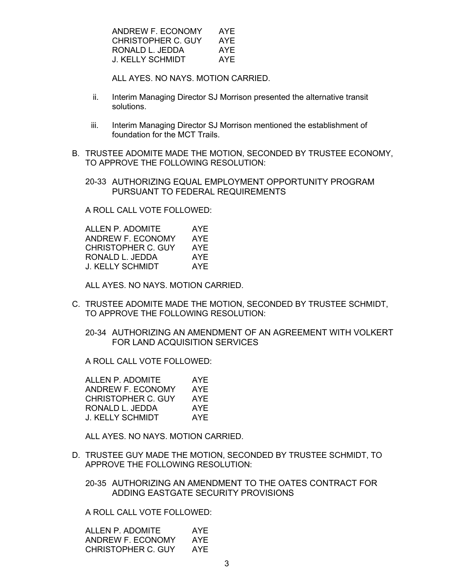| ANDREW F. ECONOMY  | AYF |
|--------------------|-----|
| CHRISTOPHER C. GUY | AYF |
| RONALD L. JEDDA    | AYF |
| J. KELLY SCHMIDT   | AYF |

ALL AYES. NO NAYS. MOTION CARRIED.

- ii. Interim Managing Director SJ Morrison presented the alternative transit solutions.
- iii. Interim Managing Director SJ Morrison mentioned the establishment of foundation for the MCT Trails.
- B. TRUSTEE ADOMITE MADE THE MOTION, SECONDED BY TRUSTEE ECONOMY, TO APPROVE THE FOLLOWING RESOLUTION:
	- 20-33 AUTHORIZING EQUAL EMPLOYMENT OPPORTUNITY PROGRAM PURSUANT TO FEDERAL REQUIREMENTS

A ROLL CALL VOTE FOLLOWED:

| ALLEN P. ADOMITE   | AYE |
|--------------------|-----|
| ANDREW F. ECONOMY  | AYE |
| CHRISTOPHER C. GUY | AYF |
| RONALD L. JEDDA    | AYE |
| J. KELLY SCHMIDT   | AYF |

ALL AYES. NO NAYS. MOTION CARRIED.

- C. TRUSTEE ADOMITE MADE THE MOTION, SECONDED BY TRUSTEE SCHMIDT, TO APPROVE THE FOLLOWING RESOLUTION:
	- 20-34 AUTHORIZING AN AMENDMENT OF AN AGREEMENT WITH VOLKERT FOR LAND ACQUISITION SERVICES

A ROLL CALL VOTE FOLLOWED:

| ALLEN P. ADOMITE          | AYF |
|---------------------------|-----|
| ANDREW F. ECONOMY         | AYE |
| <b>CHRISTOPHER C. GUY</b> | AYF |
| RONALD L. JEDDA           | AYE |
| J. KELLY SCHMIDT          | AYF |

ALL AYES. NO NAYS. MOTION CARRIED.

D. TRUSTEE GUY MADE THE MOTION, SECONDED BY TRUSTEE SCHMIDT, TO APPROVE THE FOLLOWING RESOLUTION:

20-35 AUTHORIZING AN AMENDMENT TO THE OATES CONTRACT FOR ADDING EASTGATE SECURITY PROVISIONS

A ROLL CALL VOTE FOLLOWED:

| ALLEN P. ADOMITE   | AYE |
|--------------------|-----|
| ANDREW F. ECONOMY  | AYF |
| CHRISTOPHER C. GUY | AYF |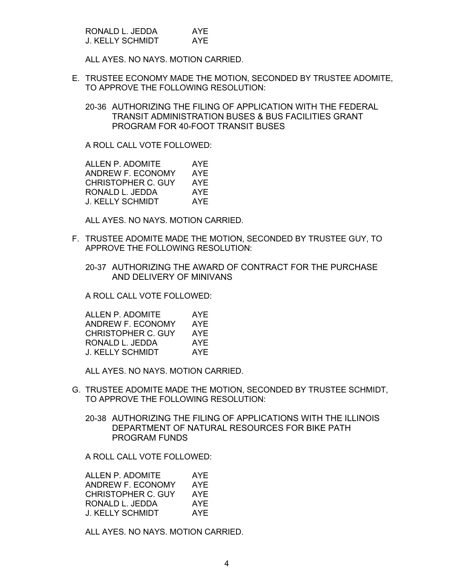| RONALD L. JEDDA         | AYE |
|-------------------------|-----|
| <b>J. KELLY SCHMIDT</b> | AYE |

ALL AYES. NO NAYS. MOTION CARRIED.

E. TRUSTEE ECONOMY MADE THE MOTION, SECONDED BY TRUSTEE ADOMITE, TO APPROVE THE FOLLOWING RESOLUTION:

20-36 AUTHORIZING THE FILING OF APPLICATION WITH THE FEDERAL TRANSIT ADMINISTRATION BUSES & BUS FACILITIES GRANT PROGRAM FOR 40-FOOT TRANSIT BUSES

A ROLL CALL VOTE FOLLOWED:

ALLEN P. ADOMITE AYE ANDREW F. ECONOMY AYE CHRISTOPHER C. GUY AYE RONALD L. JEDDA AYE J. KELLY SCHMIDT AYE

ALL AYES. NO NAYS. MOTION CARRIED.

- F. TRUSTEE ADOMITE MADE THE MOTION, SECONDED BY TRUSTEE GUY, TO APPROVE THE FOLLOWING RESOLUTION:
	- 20-37 AUTHORIZING THE AWARD OF CONTRACT FOR THE PURCHASE AND DELIVERY OF MINIVANS

A ROLL CALL VOTE FOLLOWED:

| ALLEN P. ADOMITE        | AYE |
|-------------------------|-----|
| ANDREW F. ECONOMY       | AYE |
| CHRISTOPHER C. GUY      | AYF |
| RONALD L. JEDDA         | AYE |
| <b>J. KELLY SCHMIDT</b> | AYF |

ALL AYES. NO NAYS. MOTION CARRIED.

- G. TRUSTEE ADOMITE MADE THE MOTION, SECONDED BY TRUSTEE SCHMIDT, TO APPROVE THE FOLLOWING RESOLUTION:
	- 20-38 AUTHORIZING THE FILING OF APPLICATIONS WITH THE ILLINOIS DEPARTMENT OF NATURAL RESOURCES FOR BIKE PATH PROGRAM FUNDS

A ROLL CALL VOTE FOLLOWED:

| ALLEN P. ADOMITE   | AYE |
|--------------------|-----|
| ANDREW F. ECONOMY  | AYE |
| CHRISTOPHER C. GUY | AYE |
| RONALD L. JEDDA    | AYE |
| J. KELLY SCHMIDT   | AYF |

ALL AYES. NO NAYS. MOTION CARRIED.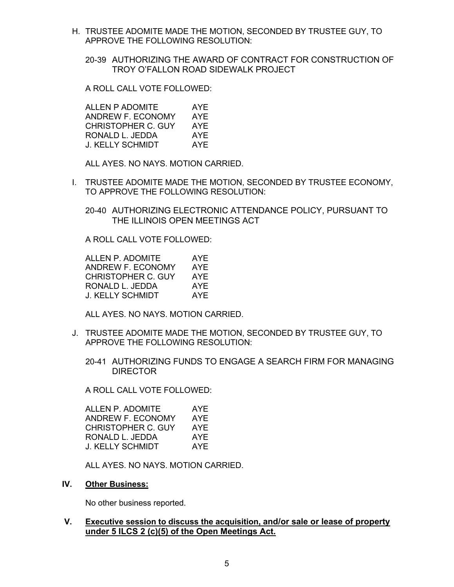- H. TRUSTEE ADOMITE MADE THE MOTION, SECONDED BY TRUSTEE GUY, TO APPROVE THE FOLLOWING RESOLUTION:
	- 20-39 AUTHORIZING THE AWARD OF CONTRACT FOR CONSTRUCTION OF TROY O'FALLON ROAD SIDEWALK PROJECT

A ROLL CALL VOTE FOLLOWED:

ALLEN P ADOMITE AYE ANDREW F. ECONOMY AYE CHRISTOPHER C. GUY AYE RONALD L. JEDDA AYE J. KELLY SCHMIDT AYE

ALL AYES. NO NAYS. MOTION CARRIED.

I. TRUSTEE ADOMITE MADE THE MOTION, SECONDED BY TRUSTEE ECONOMY, TO APPROVE THE FOLLOWING RESOLUTION:

20-40 AUTHORIZING ELECTRONIC ATTENDANCE POLICY, PURSUANT TO THE ILLINOIS OPEN MEETINGS ACT

A ROLL CALL VOTE FOLLOWED:

| ALLEN P. ADOMITE   | AYF |
|--------------------|-----|
| ANDREW F. ECONOMY  | AYE |
| CHRISTOPHER C. GUY | AYF |
| RONALD L. JEDDA    | AYE |
| J. KELLY SCHMIDT   | AYF |

ALL AYES. NO NAYS. MOTION CARRIED.

- J. TRUSTEE ADOMITE MADE THE MOTION, SECONDED BY TRUSTEE GUY, TO APPROVE THE FOLLOWING RESOLUTION:
	- 20-41 AUTHORIZING FUNDS TO ENGAGE A SEARCH FIRM FOR MANAGING DIRECTOR

A ROLL CALL VOTE FOLLOWED:

| ALLEN P. ADOMITE   | AYE |
|--------------------|-----|
| ANDREW F. ECONOMY  | AYE |
| CHRISTOPHER C. GUY | AYE |
| RONALD L. JEDDA    | AYE |
| J. KELLY SCHMIDT   | AYF |
|                    |     |

ALL AYES. NO NAYS. MOTION CARRIED.

**IV. Other Business:**

No other business reported.

# **V. Executive session to discuss the acquisition, and/or sale or lease of property under 5 ILCS 2 (c)(5) of the Open Meetings Act.**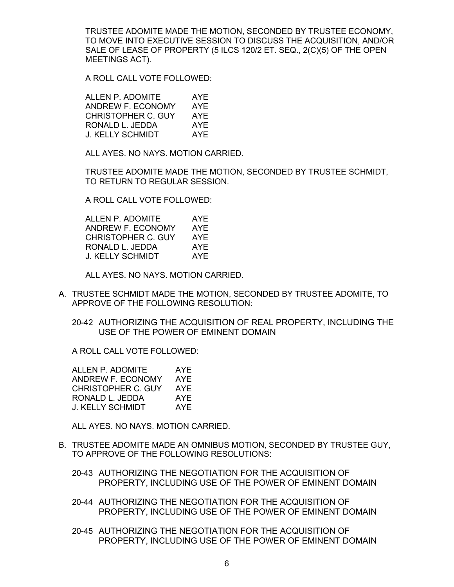TRUSTEE ADOMITE MADE THE MOTION, SECONDED BY TRUSTEE ECONOMY, TO MOVE INTO EXECUTIVE SESSION TO DISCUSS THE ACQUISITION, AND/OR SALE OF LEASE OF PROPERTY (5 ILCS 120/2 ET. SEQ., 2(C)(5) OF THE OPEN MEETINGS ACT).

A ROLL CALL VOTE FOLLOWED:

| ALLEN P. ADOMITE          | AYE |
|---------------------------|-----|
| ANDREW F. ECONOMY         | AYE |
| <b>CHRISTOPHER C. GUY</b> | AYE |
| RONALD L. JEDDA           | AYE |
| J. KELLY SCHMIDT          | AYF |

ALL AYES. NO NAYS. MOTION CARRIED.

TRUSTEE ADOMITE MADE THE MOTION, SECONDED BY TRUSTEE SCHMIDT, TO RETURN TO REGULAR SESSION.

A ROLL CALL VOTE FOLLOWED:

| ALLEN P. ADOMITE   | AYE |
|--------------------|-----|
| ANDREW F. ECONOMY  | AYE |
| CHRISTOPHER C. GUY | AYF |
| RONALD L. JEDDA    | AYE |
| J. KELLY SCHMIDT   | AYF |

ALL AYES. NO NAYS. MOTION CARRIED.

A. TRUSTEE SCHMIDT MADE THE MOTION, SECONDED BY TRUSTEE ADOMITE, TO APPROVE OF THE FOLLOWING RESOLUTION:

20-42 AUTHORIZING THE ACQUISITION OF REAL PROPERTY, INCLUDING THE USE OF THE POWER OF EMINENT DOMAIN

A ROLL CALL VOTE FOLLOWED:

| ALLEN P. ADOMITE          | AYE |
|---------------------------|-----|
| ANDREW F. ECONOMY         | AYE |
| <b>CHRISTOPHER C. GUY</b> | AYE |
| RONALD L. JEDDA           | AYE |
| J. KELLY SCHMIDT          | AYE |

ALL AYES. NO NAYS. MOTION CARRIED.

- B. TRUSTEE ADOMITE MADE AN OMNIBUS MOTION, SECONDED BY TRUSTEE GUY, TO APPROVE OF THE FOLLOWING RESOLUTIONS:
	- 20-43 AUTHORIZING THE NEGOTIATION FOR THE ACQUISITION OF PROPERTY, INCLUDING USE OF THE POWER OF EMINENT DOMAIN
	- 20-44 AUTHORIZING THE NEGOTIATION FOR THE ACQUISITION OF PROPERTY, INCLUDING USE OF THE POWER OF EMINENT DOMAIN
	- 20-45 AUTHORIZING THE NEGOTIATION FOR THE ACQUISITION OF PROPERTY, INCLUDING USE OF THE POWER OF EMINENT DOMAIN